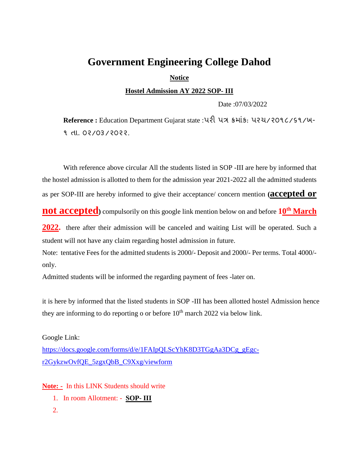## **Government Engineering College Dahod**

**Notice** 

**Hostel Admission AY 2022 SOP- III**

Date :07/03/2022

**Reference :** Education Department Gujarat state :પરી પત્ર ક્રમ ાંક: પરચ/૨૦૧૮/૬૧/ખ-૧ તા. ૦૨/૦૩/૨૦૨૨.

With reference above circular All the students listed in SOP -III are here by informed that the hostel admission is allotted to them for the admission year 2021-2022 all the admitted students as per SOP-III are hereby informed to give their acceptance/ concern mention **(accepted or** 

**not accepted)** compulsorily on this google link mention below on and before **10 th March**

**2022.** there after their admission will be canceled and waiting List will be operated. Such a student will not have any claim regarding hostel admission in future.

Note: tentative Fees for the admitted students is 2000/- Deposit and 2000/- Per terms. Total 4000/ only.

Admitted students will be informed the regarding payment of fees -later on.

it is here by informed that the listed students in SOP -III has been allotted hostel Admission hence they are informing to do reporting o or before  $10<sup>th</sup>$  march 2022 via below link.

Google Link: [https://docs.google.com/forms/d/e/1FAIpQLScYhK8D3TGgAa3DCg\\_gEgc](https://docs.google.com/forms/d/e/1FAIpQLScYhK8D3TGgAa3DCg_gEgc-r2GykzwOvfQE_5zgxQbB_C9Xxg/viewform)[r2GykzwOvfQE\\_5zgxQbB\\_C9Xxg/viewform](https://docs.google.com/forms/d/e/1FAIpQLScYhK8D3TGgAa3DCg_gEgc-r2GykzwOvfQE_5zgxQbB_C9Xxg/viewform)

**Note: -** In this LINK Students should write

- 1. In room Allotment: **SOP- III**
- 2.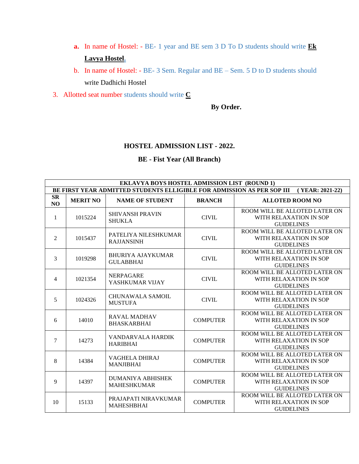- **a.** In name of Hostel: BE- 1 year and BE sem 3 D To D students should write **Ek Lavya Hostel.**
- b. In name of Hostel: BE- 3 Sem. Regular and BE Sem. 5 D to D students should write Dadhichi Hostel
- 3. Allotted seat number students should write **C**

## **By Order.**

## **HOSTEL ADMISSION LIST - 2022.**

## **BE - Fist Year (All Branch)**

| <b>EKLAVYA BOYS HOSTEL ADMISSION LIST (ROUND 1)</b>                                       |                 |                                                |                 |                                                                              |  |
|-------------------------------------------------------------------------------------------|-----------------|------------------------------------------------|-----------------|------------------------------------------------------------------------------|--|
| BE FIRST YEAR ADMITTED STUDENTS ELLIGIBLE FOR ADMISSION AS PER SOP III<br>(YEAR: 2021-22) |                 |                                                |                 |                                                                              |  |
| <b>SR</b><br>NO                                                                           | <b>MERIT NO</b> | <b>NAME OF STUDENT</b>                         | <b>BRANCH</b>   | <b>ALLOTED ROOM NO</b>                                                       |  |
| 1                                                                                         | 1015224         | <b>SHIVANSH PRAVIN</b><br><b>SHUKLA</b>        | <b>CIVIL</b>    | ROOM WILL BE ALLOTED LATER ON<br>WITH RELAXATION IN SOP<br><b>GUIDELINES</b> |  |
| $\overline{2}$                                                                            | 1015437         | PATELIYA NILESHKUMAR<br><b>RAJJANSINH</b>      | <b>CIVIL</b>    | ROOM WILL BE ALLOTED LATER ON<br>WITH RELAXATION IN SOP<br><b>GUIDELINES</b> |  |
| 3                                                                                         | 1019298         | <b>BHURIYA AJAYKUMAR</b><br><b>GULABBHAI</b>   | <b>CIVIL</b>    | ROOM WILL BE ALLOTED LATER ON<br>WITH RELAXATION IN SOP<br><b>GUIDELINES</b> |  |
| 4                                                                                         | 1021354         | <b>NERPAGARE</b><br>YASHKUMAR VIJAY            | <b>CIVIL</b>    | ROOM WILL BE ALLOTED LATER ON<br>WITH RELAXATION IN SOP<br><b>GUIDELINES</b> |  |
| 5                                                                                         | 1024326         | CHUNAWALA SAMOIL<br><b>MUSTUFA</b>             | <b>CIVIL</b>    | ROOM WILL BE ALLOTED LATER ON<br>WITH RELAXATION IN SOP<br><b>GUIDELINES</b> |  |
| 6                                                                                         | 14010           | <b>RAVAL MADHAV</b><br><b>BHASKARBHAI</b>      | <b>COMPUTER</b> | ROOM WILL BE ALLOTED LATER ON<br>WITH RELAXATION IN SOP<br><b>GUIDELINES</b> |  |
| 7                                                                                         | 14273           | VANDARVALA HARDIK<br><b>HARIBHAI</b>           | <b>COMPUTER</b> | ROOM WILL BE ALLOTED LATER ON<br>WITH RELAXATION IN SOP<br><b>GUIDELINES</b> |  |
| 8                                                                                         | 14384           | <b>VAGHELA DHIRAJ</b><br><b>MANJIBHAI</b>      | <b>COMPUTER</b> | ROOM WILL BE ALLOTED LATER ON<br>WITH RELAXATION IN SOP<br><b>GUIDELINES</b> |  |
| 9                                                                                         | 14397           | <b>DUMANIYA ABHISHEK</b><br><b>MAHESHKUMAR</b> | <b>COMPUTER</b> | ROOM WILL BE ALLOTED LATER ON<br>WITH RELAXATION IN SOP<br><b>GUIDELINES</b> |  |
| 10                                                                                        | 15133           | PRAJAPATI NIRAVKUMAR<br><b>MAHESHBHAI</b>      | <b>COMPUTER</b> | ROOM WILL BE ALLOTED LATER ON<br>WITH RELAXATION IN SOP<br><b>GUIDELINES</b> |  |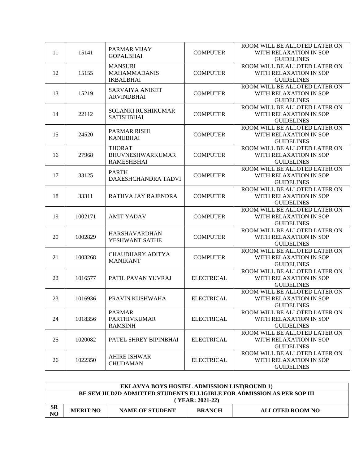|    |         |                         |                   | ROOM WILL BE ALLOTED LATER ON |
|----|---------|-------------------------|-------------------|-------------------------------|
| 11 | 15141   | PARMAR VIJAY            | <b>COMPUTER</b>   | WITH RELAXATION IN SOP        |
|    |         | <b>GOPALBHAI</b>        |                   | <b>GUIDELINES</b>             |
|    |         | <b>MANSURI</b>          |                   | ROOM WILL BE ALLOTED LATER ON |
| 12 | 15155   | <b>MAHAMMADANIS</b>     | <b>COMPUTER</b>   | WITH RELAXATION IN SOP        |
|    |         | <b>IKBALBHAI</b>        |                   | <b>GUIDELINES</b>             |
|    |         |                         |                   | ROOM WILL BE ALLOTED LATER ON |
| 13 | 15219   | <b>SARVAIYA ANIKET</b>  | <b>COMPUTER</b>   | WITH RELAXATION IN SOP        |
|    |         | <b>ARVINDBHAI</b>       |                   | <b>GUIDELINES</b>             |
|    |         |                         |                   | ROOM WILL BE ALLOTED LATER ON |
| 14 | 22112   | SOLANKI RUSHIKUMAR      | <b>COMPUTER</b>   | WITH RELAXATION IN SOP        |
|    |         | <b>SATISHBHAI</b>       |                   | <b>GUIDELINES</b>             |
|    |         |                         |                   | ROOM WILL BE ALLOTED LATER ON |
|    | 24520   | PARMAR RISHI            | <b>COMPUTER</b>   | WITH RELAXATION IN SOP        |
| 15 |         | <b>KANUBHAI</b>         |                   |                               |
|    |         |                         |                   | <b>GUIDELINES</b>             |
|    |         | <b>THORAT</b>           |                   | ROOM WILL BE ALLOTED LATER ON |
| 16 | 27968   | <b>BHUVNESHWARKUMAR</b> | <b>COMPUTER</b>   | WITH RELAXATION IN SOP        |
|    |         | <b>RAMESHBHAI</b>       |                   | <b>GUIDELINES</b>             |
|    |         | <b>PARTH</b>            |                   | ROOM WILL BE ALLOTED LATER ON |
| 17 | 33125   | DAXESHCHANDRA TADVI     | <b>COMPUTER</b>   | WITH RELAXATION IN SOP        |
|    |         |                         |                   | <b>GUIDELINES</b>             |
|    |         |                         |                   | ROOM WILL BE ALLOTED LATER ON |
| 18 | 33311   | RATHVA JAY RAJENDRA     | <b>COMPUTER</b>   | WITH RELAXATION IN SOP        |
|    |         |                         |                   | <b>GUIDELINES</b>             |
|    |         |                         |                   | ROOM WILL BE ALLOTED LATER ON |
| 19 | 1002171 | <b>AMIT YADAV</b>       | <b>COMPUTER</b>   | WITH RELAXATION IN SOP        |
|    |         |                         |                   | <b>GUIDELINES</b>             |
|    |         |                         |                   | ROOM WILL BE ALLOTED LATER ON |
| 20 | 1002829 | <b>HARSHAVARDHAN</b>    | <b>COMPUTER</b>   | WITH RELAXATION IN SOP        |
|    |         | YESHWANT SATHE          |                   | <b>GUIDELINES</b>             |
|    |         |                         |                   | ROOM WILL BE ALLOTED LATER ON |
| 21 | 1003268 | <b>CHAUDHARY ADITYA</b> | <b>COMPUTER</b>   | WITH RELAXATION IN SOP        |
|    |         | <b>MANIKANT</b>         |                   | <b>GUIDELINES</b>             |
|    |         |                         |                   | ROOM WILL BE ALLOTED LATER ON |
| 22 | 1016577 | PATIL PAVAN YUVRAJ      | <b>ELECTRICAL</b> | WITH RELAXATION IN SOP        |
|    |         |                         |                   | <b>GUIDELINES</b>             |
|    |         |                         |                   | ROOM WILL BE ALLOTED LATER ON |
| 23 | 1016936 | PRAVIN KUSHWAHA         | <b>ELECTRICAL</b> | WITH RELAXATION IN SOP        |
|    |         |                         |                   | <b>GUIDELINES</b>             |
|    |         | <b>PARMAR</b>           |                   | ROOM WILL BE ALLOTED LATER ON |
| 24 | 1018356 | <b>PARTHIVKUMAR</b>     | <b>ELECTRICAL</b> | WITH RELAXATION IN SOP        |
|    |         | <b>RAMSINH</b>          |                   | <b>GUIDELINES</b>             |
|    |         |                         |                   |                               |
|    |         |                         |                   | ROOM WILL BE ALLOTED LATER ON |
| 25 | 1020082 | PATEL SHREY BIPINBHAI   | <b>ELECTRICAL</b> | WITH RELAXATION IN SOP        |
|    |         |                         |                   | <b>GUIDELINES</b>             |
|    |         | <b>AHIRE ISHWAR</b>     |                   | ROOM WILL BE ALLOTED LATER ON |
| 26 | 1022350 | <b>CHUDAMAN</b>         | <b>ELECTRICAL</b> | WITH RELAXATION IN SOP        |
|    |         |                         |                   | <b>GUIDELINES</b>             |

| <b>EKLAVYA BOYS HOSTEL ADMISSION LIST(ROUND 1)</b>                      |                 |                        |               |                 |  |
|-------------------------------------------------------------------------|-----------------|------------------------|---------------|-----------------|--|
| BE SEM III D2D ADMITTED STUDENTS ELLIGIBLE FOR ADMISSION AS PER SOP III |                 |                        |               |                 |  |
| (YEAR: 2021-22)                                                         |                 |                        |               |                 |  |
| $\mathbf{SR}$<br>N <sub>O</sub>                                         | <b>MERIT NO</b> | <b>NAME OF STUDENT</b> | <b>BRANCH</b> | ALLOTED ROOM NO |  |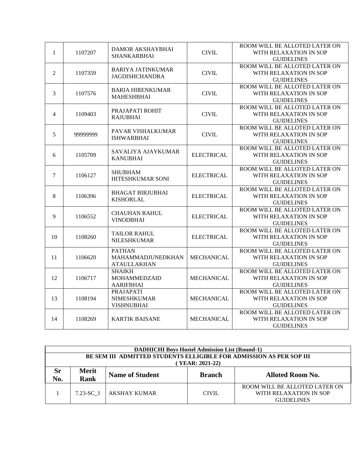|                |          |                                              |                   | ROOM WILL BE ALLOTED LATER ON |
|----------------|----------|----------------------------------------------|-------------------|-------------------------------|
| $\mathbf{1}$   | 1107207  | DAMOR AKSHAYBHAI<br><b>SHANKARBHAI</b>       | <b>CIVIL</b>      | WITH RELAXATION IN SOP        |
|                |          |                                              |                   | <b>GUIDELINES</b>             |
|                |          |                                              |                   | ROOM WILL BE ALLOTED LATER ON |
| $\overline{2}$ | 1107359  | <b>BARIYA JATINKUMAR</b>                     | <b>CIVIL</b>      | WITH RELAXATION IN SOP        |
|                |          | <b>JAGDISHCHANDRA</b>                        |                   | <b>GUIDELINES</b>             |
|                |          |                                              |                   | ROOM WILL BE ALLOTED LATER ON |
| 3              | 1107576  | <b>BARIA HIRENKUMAR</b><br><b>MAHESHBHAI</b> | <b>CIVIL</b>      | WITH RELAXATION IN SOP        |
|                |          |                                              |                   | <b>GUIDELINES</b>             |
|                |          |                                              |                   | ROOM WILL BE ALLOTED LATER ON |
| $\overline{4}$ | 1109403  | PRAJAPATI ROHIT                              | <b>CIVIL</b>      | WITH RELAXATION IN SOP        |
|                |          | <b>RAJUBHAI</b>                              |                   | <b>GUIDELINES</b>             |
|                |          |                                              |                   | ROOM WILL BE ALLOTED LATER ON |
| 5              | 99999999 | PAVAR VISHALKUMAR                            | <b>CIVIL</b>      | WITH RELAXATION IN SOP        |
|                |          | <b>ISHWARBHAI</b>                            |                   | <b>GUIDELINES</b>             |
|                |          |                                              |                   | ROOM WILL BE ALLOTED LATER ON |
| 6              | 1105709  | SAVALIYA AJAYKUMAR<br><b>KANUBHAI</b>        | <b>ELECTRICAL</b> | WITH RELAXATION IN SOP        |
|                |          |                                              |                   | <b>GUIDELINES</b>             |
|                | 1106127  | <b>SHUBHAM</b><br>HITESHKUMAR SONI           | <b>ELECTRICAL</b> | ROOM WILL BE ALLOTED LATER ON |
| $\overline{7}$ |          |                                              |                   | WITH RELAXATION IN SOP        |
|                |          |                                              |                   | <b>GUIDELINES</b>             |
|                | 1106396  | <b>BHAGAT BIRJUBHAI</b><br><b>KISHORLAL</b>  | <b>ELECTRICAL</b> | ROOM WILL BE ALLOTED LATER ON |
| 8              |          |                                              |                   | WITH RELAXATION IN SOP        |
|                |          |                                              |                   | <b>GUIDELINES</b>             |
|                | 1106552  | <b>CHAUHAN RAHUL</b><br><b>VINODBHAI</b>     | <b>ELECTRICAL</b> | ROOM WILL BE ALLOTED LATER ON |
| 9              |          |                                              |                   | WITH RELAXATION IN SOP        |
|                |          |                                              |                   | <b>GUIDELINES</b>             |
|                |          |                                              |                   | ROOM WILL BE ALLOTED LATER ON |
| 10             | 1108260  | <b>TAILOR RAHUL</b>                          | <b>ELECTRICAL</b> | WITH RELAXATION IN SOP        |
|                |          | <b>NILESHKUMAR</b>                           |                   | <b>GUIDELINES</b>             |
|                |          | <b>PATHAN</b>                                |                   | ROOM WILL BE ALLOTED LATER ON |
| 11             | 1106620  | MAHAMMADJUNEDKHAN                            | <b>MECHANICAL</b> | WITH RELAXATION IN SOP        |
|                |          | <b>ATAULLAKHAN</b>                           |                   | <b>GUIDELINES</b>             |
|                |          | <b>SHAIKH</b>                                |                   | ROOM WILL BE ALLOTED LATER ON |
| 12             | 1106717  | <b>MOHAMMEDZAID</b>                          | <b>MECHANICAL</b> | WITH RELAXATION IN SOP        |
|                |          | <b>AARIFBHAI</b>                             |                   | <b>GUIDELINES</b>             |
|                |          | <b>PRAJAPATI</b>                             |                   | ROOM WILL BE ALLOTED LATER ON |
| 13             | 1108194  | <b>NIMESHKUMAR</b>                           | <b>MECHANICAL</b> | WITH RELAXATION IN SOP        |
|                |          | <b>VISHNUBHAI</b>                            |                   | <b>GUIDELINES</b>             |
|                | 1108269  | <b>KARTIK BAISANE</b>                        | <b>MECHANICAL</b> | ROOM WILL BE ALLOTED LATER ON |
| 14             |          |                                              |                   | WITH RELAXATION IN SOP        |
|                |          |                                              |                   | <b>GUIDELINES</b>             |

|                                                                                       | <b>DADHICHI Boys Hostel Admission List (Round-1)</b> |                        |               |                                                                              |  |  |
|---------------------------------------------------------------------------------------|------------------------------------------------------|------------------------|---------------|------------------------------------------------------------------------------|--|--|
| BE SEM III ADMITTED STUDENTS ELLIGIBLE FOR ADMISSION AS PER SOP III<br>YEAR: 2021-22) |                                                      |                        |               |                                                                              |  |  |
| Sr<br>No.                                                                             | <b>Merit</b><br>Rank                                 | <b>Name of Student</b> | <b>Branch</b> | <b>Alloted Room No.</b>                                                      |  |  |
|                                                                                       | $7.23 - SC$ 1                                        | AKSHAY KUMAR           | CIVIL.        | ROOM WILL BE ALLOTED LATER ON<br>WITH RELAXATION IN SOP<br><b>GUIDELINES</b> |  |  |